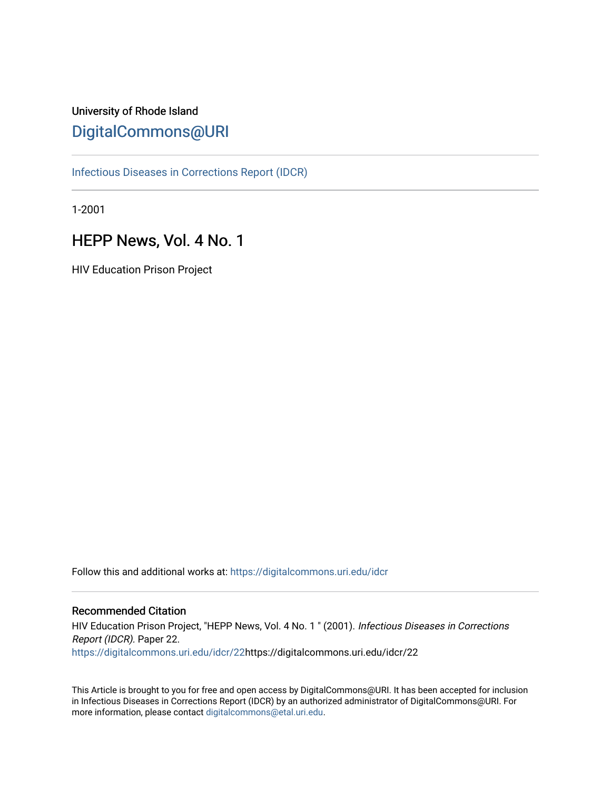# University of Rhode Island [DigitalCommons@URI](https://digitalcommons.uri.edu/)

[Infectious Diseases in Corrections Report \(IDCR\)](https://digitalcommons.uri.edu/idcr)

1-2001

# HEPP News, Vol. 4 No. 1

HIV Education Prison Project

Follow this and additional works at: [https://digitalcommons.uri.edu/idcr](https://digitalcommons.uri.edu/idcr?utm_source=digitalcommons.uri.edu%2Fidcr%2F22&utm_medium=PDF&utm_campaign=PDFCoverPages)

# Recommended Citation

HIV Education Prison Project, "HEPP News, Vol. 4 No. 1 " (2001). Infectious Diseases in Corrections Report (IDCR). Paper 22. [https://digitalcommons.uri.edu/idcr/22h](https://digitalcommons.uri.edu/idcr/22?utm_source=digitalcommons.uri.edu%2Fidcr%2F22&utm_medium=PDF&utm_campaign=PDFCoverPages)ttps://digitalcommons.uri.edu/idcr/22

This Article is brought to you for free and open access by DigitalCommons@URI. It has been accepted for inclusion in Infectious Diseases in Corrections Report (IDCR) by an authorized administrator of DigitalCommons@URI. For more information, please contact [digitalcommons@etal.uri.edu.](mailto:digitalcommons@etal.uri.edu)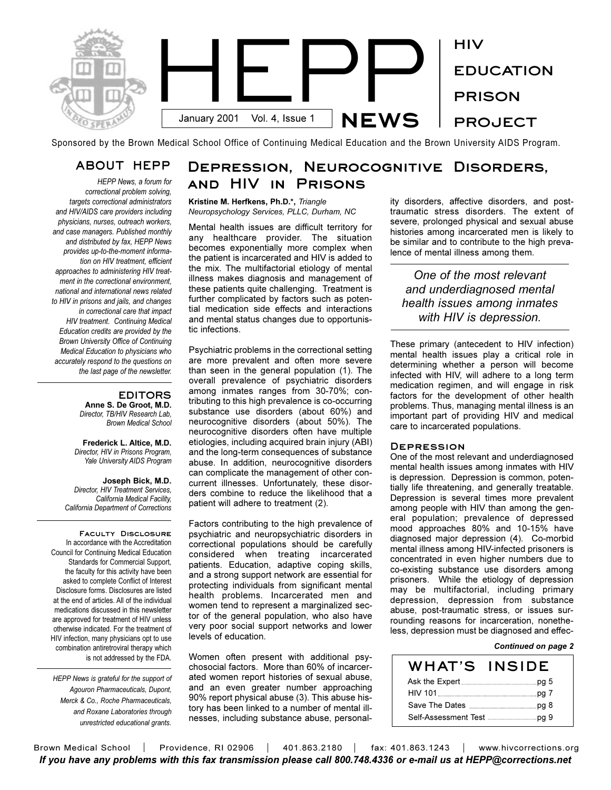

Sponsored by the Brown Medical School Office of Continuing Medical Education and the Brown University AIDS Program.

# **ABOUT HEPP**

*HEPP News, a forum for correctional problem solving, targets correctional administrators and HIV/AIDS care providers including physicians, nurses, outreach workers, and case managers. Published monthly and distributed by fax, HEPP News provides up-to-the-moment information on HIV treatment, efficient approaches to administering HIV treatment in the correctional environment, national and international news related to HIV in prisons and jails, and changes in correctional care that impact HIV treatment. Continuing Medical Education credits are provided by the Brown University Office of Continuing Medical Education to physicians who accurately respond to the questions on the last page of the newsletter.* 

#### **EDITORS Anne S. De Groot, M.D.** *Director, TB/HIV Research Lab, Brown Medical School*

**Frederick L. Altice, M.D.** *Director, HIV in Prisons Program, Yale University AIDS Program*

**Joseph Bick, M.D.** *Director, HIV Treatment Services, California Medical Facility, California Department of Corrections*

**Faculty Disclosure**  In accordance with the Accreditation Council for Continuing Medical Education Standards for Commercial Support, the faculty for this activity have been asked to complete Conflict of Interest Disclosure forms. Disclosures are listed at the end of articles. All of the individual medications discussed in this newsletter are approved for treatment of HIV unless otherwise indicated. For the treatment of HIV infection, many physicians opt to use combination antiretroviral therapy which is not addressed by the FDA.

*HEPP News is grateful for the support of Agouron Pharmaceuticals, Dupont, Merck & Co., Roche Pharmaceuticals, and Roxane Laboratories through unrestricted educational grants.*

# **Depression, Neurocognitive Disorders, and HIV in Prisons**

### **Kristine M. Herfkens, Ph.D.\*,** *Triangle Neuropsychology Services, PLLC, Durham, NC*

Mental health issues are difficult territory for any healthcare provider. The situation becomes exponentially more complex when the patient is incarcerated and HIV is added to the mix. The multifactorial etiology of mental illness makes diagnosis and management of these patients quite challenging. Treatment is further complicated by factors such as potential medication side effects and interactions and mental status changes due to opportunistic infections.

Psychiatric problems in the correctional setting are more prevalent and often more severe than seen in the general population (1). The overall prevalence of psychiatric disorders among inmates ranges from 30-70%; contributing to this high prevalence is co-occurring substance use disorders (about 60%) and neurocognitive disorders (about 50%). The neurocognitive disorders often have multiple etiologies, including acquired brain injury (ABI) and the long-term consequences of substance abuse. In addition, neurocognitive disorders can complicate the management of other concurrent illnesses. Unfortunately, these disorders combine to reduce the likelihood that a patient will adhere to treatment (2).

Factors contributing to the high prevalence of psychiatric and neuropsychiatric disorders in correctional populations should be carefully considered when treating incarcerated patients. Education, adaptive coping skills, and a strong support network are essential for protecting individuals from significant mental health problems. Incarcerated men and women tend to represent a marginalized sector of the general population, who also have very poor social support networks and lower levels of education.

Women often present with additional psychosocial factors. More than 60% of incarcerated women report histories of sexual abuse, and an even greater number approaching 90% report physical abuse (3). This abuse history has been linked to a number of mental illnesses, including substance abuse, personality disorders, affective disorders, and posttraumatic stress disorders. The extent of severe, prolonged physical and sexual abuse histories among incarcerated men is likely to be similar and to contribute to the high prevalence of mental illness among them.

*One of the most relevant and underdiagnosed mental health issues among inmates with HIV is depression.*

These primary (antecedent to HIV infection) mental health issues play a critical role in determining whether a person will become infected with HIV, will adhere to a long term medication regimen, and will engage in risk factors for the development of other health problems. Thus, managing mental illness is an important part of providing HIV and medical care to incarcerated populations.

# **Depression**

One of the most relevant and underdiagnosed mental health issues among inmates with HIV is depression. Depression is common, potentially life threatening, and generally treatable. Depression is several times more prevalent among people with HIV than among the general population; prevalence of depressed mood approaches 80% and 10-15% have diagnosed major depression (4). Co-morbid mental illness among HIV-infected prisoners is concentrated in even higher numbers due to co-existing substance use disorders among prisoners. While the etiology of depression may be multifactorial, including primary depression, depression from substance abuse, post-traumatic stress, or issues surrounding reasons for incarceration, nonetheless, depression must be diagnosed and effec-

#### *Continued on page 2*

| WHAT'S | <b>INSIDE</b> |
|--------|---------------|
|        |               |
|        |               |
|        |               |
|        |               |

Brown Medical School | Providence, RI 02906 | 401.863.2180 | fax: 401.863.1243 | www.hivcorrections.org *If you have any problems with this fax transmission please call 800.748.4336 or e-mail us at HEPP@corrections.net*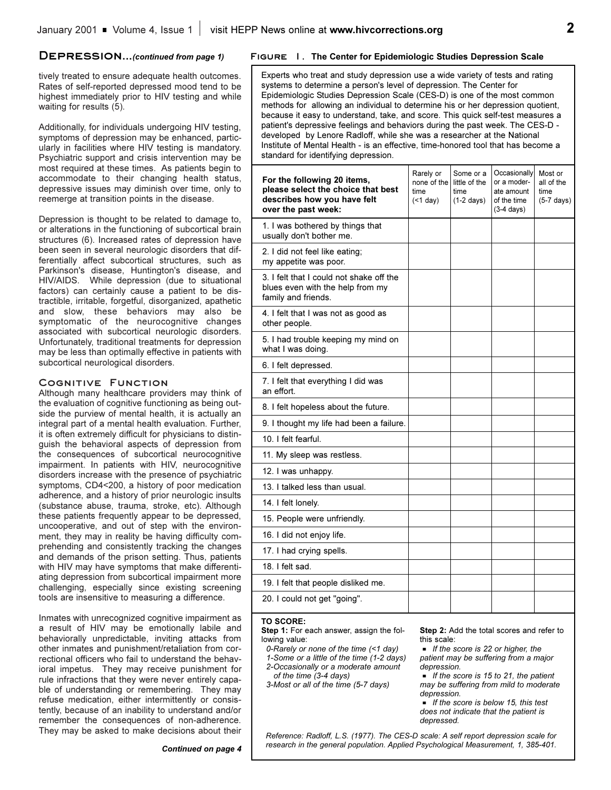tively treated to ensure adequate health outcomes. Rates of self-reported depressed mood tend to be highest immediately prior to HIV testing and while waiting for results (5).

Additionally, for individuals undergoing HIV testing, symptoms of depression may be enhanced, particularly in facilities where HIV testing is mandatory. Psychiatric support and crisis intervention may be most required at these times. As patients begin to accommodate to their changing health status, depressive issues may diminish over time, only to reemerge at transition points in the disease.

Depression is thought to be related to damage to, or alterations in the functioning of subcortical brain structures (6). Increased rates of depression have been seen in several neurologic disorders that differentially affect subcortical structures, such as Parkinson's disease, Huntington's disease, and HIV/AIDS. While depression (due to situational factors) can certainly cause a patient to be distractible, irritable, forgetful, disorganized, apathetic and slow, these behaviors may also be symptomatic of the neurocognitive changes associated with subcortical neurologic disorders. Unfortunately, traditional treatments for depression may be less than optimally effective in patients with subcortical neurological disorders.

### **Cognitive Function**

Although many healthcare providers may think of the evaluation of cognitive functioning as being outside the purview of mental health, it is actually an integral part of a mental health evaluation. Further, it is often extremely difficult for physicians to distinguish the behavioral aspects of depression from the consequences of subcortical neurocognitive impairment. In patients with HIV, neurocognitive disorders increase with the presence of psychiatric symptoms, CD4<200, a history of poor medication adherence, and a history of prior neurologic insults (substance abuse, trauma, stroke, etc). Although these patients frequently appear to be depressed, uncooperative, and out of step with the environment, they may in reality be having difficulty comprehending and consistently tracking the changes and demands of the prison setting. Thus, patients with HIV may have symptoms that make differentiating depression from subcortical impairment more challenging, especially since existing screening tools are insensitive to measuring a difference.

Inmates with unrecognized cognitive impairment as a result of HIV may be emotionally labile and behaviorally unpredictable, inviting attacks from other inmates and punishment/retaliation from correctional officers who fail to understand the behavioral impetus. They may receive punishment for rule infractions that they were never entirely capable of understanding or remembering. They may refuse medication, either intermittently or consistently, because of an inability to understand and/or remember the consequences of non-adherence. They may be asked to make decisions about their

# **Depression...***(continued from page 1)* **Figure 1. The Center for Epidemiologic Studies Depression Scale**

Experts who treat and study depression use a wide variety of tests and rating systems to determine a person's level of depression. The Center for Epidemiologic Studies Depression Scale (CES-D) is one of the most common methods for allowing an individual to determine his or her depression quotient, because it easy to understand, take, and score. This quick self-test measures a patient's depressive feelings and behaviors during the past week. The CES-D developed by Lenore Radloff, while she was a researcher at the National Institute of Mental Health - is an effective, time-honored tool that has become a standard for identifying depression.

| For the following 20 items,<br>please select the choice that best<br>describes how you have felt<br>over the past week: | Rarely or<br>none of the<br>time<br>(< 1 day) | Some or a<br>little of the<br>time<br>$(1-2 \text{ days})$ | Occasionally<br>or a moder-<br>ate amount<br>of the time<br>$(3-4 \text{ days})$ | Most or<br>all of the<br>time<br>$(5-7 \text{ days})$ |
|-------------------------------------------------------------------------------------------------------------------------|-----------------------------------------------|------------------------------------------------------------|----------------------------------------------------------------------------------|-------------------------------------------------------|
| 1. I was bothered by things that<br>usually don't bother me.                                                            |                                               |                                                            |                                                                                  |                                                       |
| 2. I did not feel like eating;<br>my appetite was poor.                                                                 |                                               |                                                            |                                                                                  |                                                       |
| 3. I felt that I could not shake off the<br>blues even with the help from my<br>family and friends.                     |                                               |                                                            |                                                                                  |                                                       |
| 4. I felt that I was not as good as<br>other people.                                                                    |                                               |                                                            |                                                                                  |                                                       |
| 5. I had trouble keeping my mind on<br>what I was doing.                                                                |                                               |                                                            |                                                                                  |                                                       |
| 6. I felt depressed.                                                                                                    |                                               |                                                            |                                                                                  |                                                       |
| 7. I felt that everything I did was<br>an effort.                                                                       |                                               |                                                            |                                                                                  |                                                       |
| 8. I felt hopeless about the future.                                                                                    |                                               |                                                            |                                                                                  |                                                       |
| 9. I thought my life had been a failure.                                                                                |                                               |                                                            |                                                                                  |                                                       |
| 10. I felt fearful.                                                                                                     |                                               |                                                            |                                                                                  |                                                       |
| 11. My sleep was restless.                                                                                              |                                               |                                                            |                                                                                  |                                                       |
| 12. I was unhappy.                                                                                                      |                                               |                                                            |                                                                                  |                                                       |
| 13. I talked less than usual.                                                                                           |                                               |                                                            |                                                                                  |                                                       |
| 14. I felt lonely.                                                                                                      |                                               |                                                            |                                                                                  |                                                       |
| 15. People were unfriendly.                                                                                             |                                               |                                                            |                                                                                  |                                                       |
| 16. I did not enjoy life.                                                                                               |                                               |                                                            |                                                                                  |                                                       |
| 17. I had crying spells.                                                                                                |                                               |                                                            |                                                                                  |                                                       |
| 18. I felt sad.                                                                                                         |                                               |                                                            |                                                                                  |                                                       |
| 19. I felt that people disliked me.                                                                                     |                                               |                                                            |                                                                                  |                                                       |
| 20. I could not get "going".                                                                                            |                                               |                                                            |                                                                                  |                                                       |
|                                                                                                                         |                                               |                                                            |                                                                                  |                                                       |

*Reference: Radloff, L.S. (1977). The CES-D scale: A self report depression scale for research in the general population. Applied Psychological Measurement, 1, 385-401.*

#### **TO SCORE:**

**Step 1:** For each answer, assign the following value:

*0-Rarely or none of the time (<1 day) 1-Some or a little of the time (1-2 days) 2-Occasionally or a moderate amount of the time (3-4 days)*

*3-Most or all of the time (5-7 days)*

**Step 2:** Add the total scores and refer to this scale:

**F** *If the score is 22 or higher, the patient may be suffering from a major depression.* 

G *If the score is 15 to 21, the patient may be suffering from mild to moderate depression.* 

G *If the score is below 15, this test does not indicate that the patient is depressed.*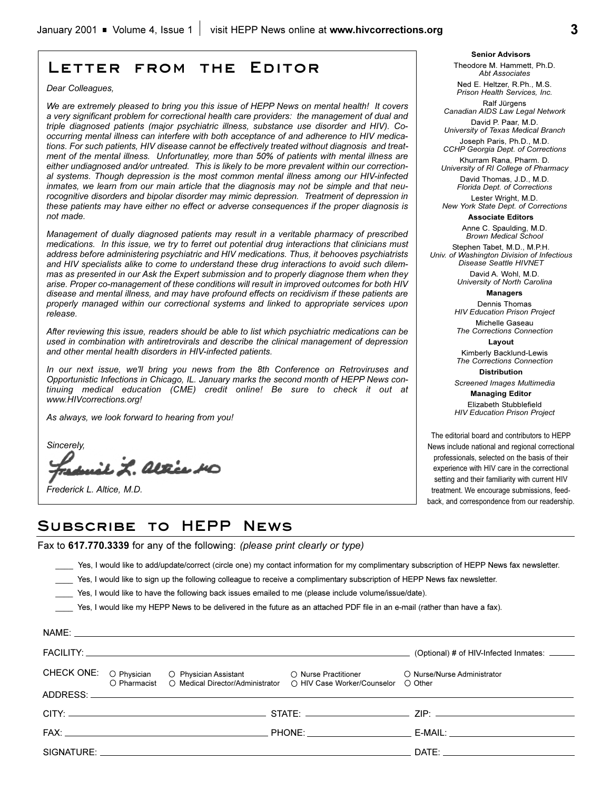# **Letter from the Editor**

*Dear Colleagues,*

*We are extremely pleased to bring you this issue of HEPP News on mental health! It covers a very significant problem for correctional health care providers: the management of dual and triple diagnosed patients (major psychiatric illness, substance use disorder and HIV). Cooccurring mental illness can interfere with both acceptance of and adherence to HIV medications. For such patients, HIV disease cannot be effectively treated without diagnosis and treatment of the mental illness. Unfortunatley, more than 50% of patients with mental illness are either undiagnosed and/or untreated. This is likely to be more prevalent within our correctional systems. Though depression is the most common mental illness among our HIV-infected inmates, we learn from our main article that the diagnosis may not be simple and that neurocognitive disorders and bipolar disorder may mimic depression. Treatment of depression in these patients may have either no effect or adverse consequences if the proper diagnosis is not made.*

*Management of dually diagnosed patients may result in a veritable pharmacy of prescribed medications. In this issue, we try to ferret out potential drug interactions that clinicians must address before administering psychiatric and HIV medications. Thus, it behooves psychiatrists and HIV specialists alike to come to understand these drug interactions to avoid such dilemmas as presented in our Ask the Expert submission and to properly diagnose them when they arise. Proper co-management of these conditions will result in improved outcomes for both HIV disease and mental illness, and may have profound effects on recidivism if these patients are properly managed within our correctional systems and linked to appropriate services upon release.*

*After reviewing this issue, readers should be able to list which psychiatric medications can be used in combination with antiretrovirals and describe the clinical management of depression and other mental health disorders in HIV-infected patients.*

*In our next issue, we'll bring you news from the 8th Conference on Retroviruses and Opportunistic Infections in Chicago, IL. January marks the second month of HEPP News continuing medical education (CME) credit online! Be sure to check it out at www.HIVcorrections.org!*

*As always, we look forward to hearing from you!*

*Sincerely,*

NAME:

it *L. Altie H*o

*Frederick L. Altice, M.D.*

**Senior Advisors** Theodore M. Hammett, Ph.D. *Abt Associates*

Ned E. Heltzer, R.Ph., M.S. *Prison Health Services, Inc.*

Ralf Jürgens *Canadian AIDS Law Legal Network* David P. Paar, M.D.

*University of Texas Medical Branch* Joseph Paris, Ph.D., M.D.

*CCHP Georgia Dept. of Corrections*  Khurram Rana, Pharm. D.

*University of RI College of Pharmacy* David Thomas, J.D., M.D. *Florida Dept. of Corrections*

Lester Wright, M.D. *New York State Dept. of Corrections*

**Associate Editors**

Anne C. Spaulding, M.D. *Brown Medical School*

Stephen Tabet, M.D., M.P.H. *Univ. of Washington Division of Infectious Disease Seattle HIVNET*

> David A. Wohl, M.D. *University of North Carolina*

> > **Managers** Dennis Thomas

*HIV Education Prison Project* Michelle Gaseau

*The Corrections Connection* **Layout** Kimberly Backlund-Lewis

*The Corrections Connection* **Distribution**

*Screened Images Multimedia*

**Managing Editor**  Elizabeth Stubblefield *HIV Education Prison Project*

The editorial board and contributors to HEPP News include national and regional correctional professionals, selected on the basis of their experience with HIV care in the correctional setting and their familiarity with current HIV treatment. We encourage submissions, feedback, and correspondence from our readership.

# **Subscribe to HEPP News**

Fax to **617.770.3339** for any of the following: *(please print clearly or type)*

\_\_\_\_ Yes, I would like to add/update/correct (circle one) my contact information for my complimentary subscription of HEPP News fax newsletter.

- Yes, I would like to sign up the following colleague to receive a complimentary subscription of HEPP News fax newsletter.
- \_\_\_\_ Yes, I would like to have the following back issues emailed to me (please include volume/issue/date).

Yes, I would like my HEPP News to be delivered in the future as an attached PDF file in an e-mail (rather than have a fax).

|  |                                               |                                                                                                                      | (Optional) # of HIV-Infected Inmates: _____                                                                                                                                                                                    |
|--|-----------------------------------------------|----------------------------------------------------------------------------------------------------------------------|--------------------------------------------------------------------------------------------------------------------------------------------------------------------------------------------------------------------------------|
|  | O Pharmacist O Medical Director/Administrator | CHECK ONE: O Physician O Physician Assistant O Nurse Practitioner<br>$\circ$ HIV Case Worker/Counselor $\circ$ Other | O Nurse/Nurse Administrator                                                                                                                                                                                                    |
|  |                                               |                                                                                                                      |                                                                                                                                                                                                                                |
|  |                                               |                                                                                                                      |                                                                                                                                                                                                                                |
|  |                                               |                                                                                                                      |                                                                                                                                                                                                                                |
|  |                                               |                                                                                                                      | DATE: the contract of the contract of the contract of the contract of the contract of the contract of the contract of the contract of the contract of the contract of the contract of the contract of the contract of the cont |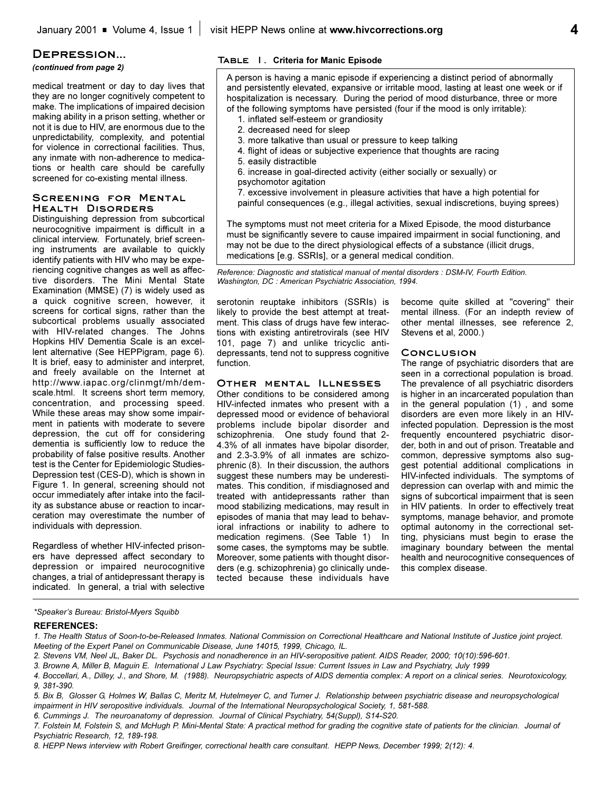### **Depression...**

### *(continued from page 2)*

medical treatment or day to day lives that they are no longer cognitively competent to make. The implications of impaired decision making ability in a prison setting, whether or not it is due to HIV, are enormous due to the unpredictability, complexity, and potential for violence in correctional facilities. Thus, any inmate with non-adherence to medications or health care should be carefully screened for co-existing mental illness.

### **Screening for Mental Health Disorders**

Distinguishing depression from subcortical neurocognitive impairment is difficult in a clinical interview. Fortunately, brief screening instruments are available to quickly identify patients with HIV who may be experiencing cognitive changes as well as affective disorders. The Mini Mental State Examination (MMSE) (7) is widely used as a quick cognitive screen, however, it screens for cortical signs, rather than the subcortical problems usually associated with HIV-related changes. The Johns Hopkins HIV Dementia Scale is an excellent alternative (See HEPPigram, page 6). It is brief, easy to administer and interpret, and freely available on the Internet at http://www.iapac.org/clinmgt/mh/demscale.html. It screens short term memory, concentration, and processing speed. While these areas may show some impairment in patients with moderate to severe depression, the cut off for considering dementia is sufficiently low to reduce the probability of false positive results. Another test is the Center for Epidemiologic Studies-Depression test (CES-D), which is shown in Figure 1. In general, screening should not occur immediately after intake into the facility as substance abuse or reaction to incarceration may overestimate the number of individuals with depression.

Regardless of whether HIV-infected prisoners have depressed affect secondary to depression or impaired neurocognitive changes, a trial of antidepressant therapy is indicated. In general, a trial with selective

### **Table 1. Criteria for Manic Episode**

A person is having a manic episode if experiencing a distinct period of abnormally and persistently elevated, expansive or irritable mood, lasting at least one week or if hospitalization is necessary. During the period of mood disturbance, three or more of the following symptoms have persisted (four if the mood is only irritable):

- 1. inflated self-esteem or grandiosity
- 2. decreased need for sleep
- 3. more talkative than usual or pressure to keep talking
- 4. flight of ideas or subjective experience that thoughts are racing
- 5. easily distractible
- 6. increase in goal-directed activity (either socially or sexually) or psychomotor agitation
- 7. excessive involvement in pleasure activities that have a high potential for painful consequences (e.g., illegal activities, sexual indiscretions, buying sprees)

The symptoms must not meet criteria for a Mixed Episode, the mood disturbance must be significantly severe to cause impaired impairment in social functioning, and may not be due to the direct physiological effects of a substance (illicit drugs, medications [e.g. SSRIs], or a general medical condition.

*Reference: Diagnostic and statistical manual of mental disorders : DSM-IV, Fourth Edition. Washington, DC : American Psychiatric Association, 1994.*

serotonin reuptake inhibitors (SSRIs) is likely to provide the best attempt at treatment. This class of drugs have few interactions with existing antiretrovirals (see HIV 101, page 7) and unlike tricyclic antidepressants, tend not to suppress cognitive function.

# **Other mental Illnesses**

Other conditions to be considered among HIV-infected inmates who present with a depressed mood or evidence of behavioral problems include bipolar disorder and schizophrenia. One study found that 2- 4.3% of all inmates have bipolar disorder, and 2.3-3.9% of all inmates are schizophrenic (8). In their discussion, the authors suggest these numbers may be underestimates. This condition, if misdiagnosed and treated with antidepressants rather than mood stabilizing medications, may result in episodes of mania that may lead to behavioral infractions or inability to adhere to medication regimens. (See Table 1) In some cases, the symptoms may be subtle. Moreover, some patients with thought disorders (e.g. schizophrenia) go clinically undetected because these individuals have

become quite skilled at "covering" their mental illness. (For an indepth review of other mental illnesses, see reference 2, Stevens et al, 2000.)

#### **Conclusion**

The range of psychiatric disorders that are seen in a correctional population is broad. The prevalence of all psychiatric disorders is higher in an incarcerated population than in the general population (1) , and some disorders are even more likely in an HIVinfected population. Depression is the most frequently encountered psychiatric disorder, both in and out of prison. Treatable and common, depressive symptoms also suggest potential additional complications in HIV-infected individuals. The symptoms of depression can overlap with and mimic the signs of subcortical impairment that is seen in HIV patients. In order to effectively treat symptoms, manage behavior, and promote optimal autonomy in the correctional setting, physicians must begin to erase the imaginary boundary between the mental health and neurocognitive consequences of this complex disease.

### *\*Speakers Bureau: Bristol-Myers Squibb*

#### **REFERENCES:**

*3. Browne A, Miller B, Maguin E. International J Law Psychiatry: Special Issue: Current Issues in Law and Psychiatry, July 1999*

*6. Cummings J. The neuroanatomy of depression. Journal of Clinical Psychiatry, 54(Suppl), S14-S20.*

*8. HEPP News interview with Robert Greifinger, correctional health care consultant. HEPP News, December 1999; 2(12): 4.*

*<sup>1.</sup> The Health Status of Soon-to-be-Released Inmates. National Commission on Correctional Healthcare and National Institute of Justice joint project. Meeting of the Expert Panel on Communicable Disease, June 14015, 1999, Chicago, IL.*

*<sup>2.</sup> Stevens VM, Neel JL, Baker DL. Psychosis and nonadherence in an HIV-seropositive patient. AIDS Reader, 2000; 10(10):596-601.*

*<sup>4.</sup> Boccellari, A., Dilley, J., and Shore, M. (1988). Neuropsychiatric aspects of AIDS dementia complex: A report on a clinical series. Neurotoxicology, 9, 381-390.*

*<sup>5.</sup> Bix B, Glosser G, Holmes W, Ballas C, Meritz M, Hutelmeyer C, and Turner J. Relationship between psychiatric disease and neuropsychological impairment in HIV seropositive individuals. Journal of the International Neuropsychological Society, 1, 581-588.*

*<sup>7.</sup> Folstein M, Folstein S, and McHugh P. Mini-Mental State: A practical method for grading the cognitive state of patients for the clinician. Journal of Psychiatric Research, 12, 189-198.*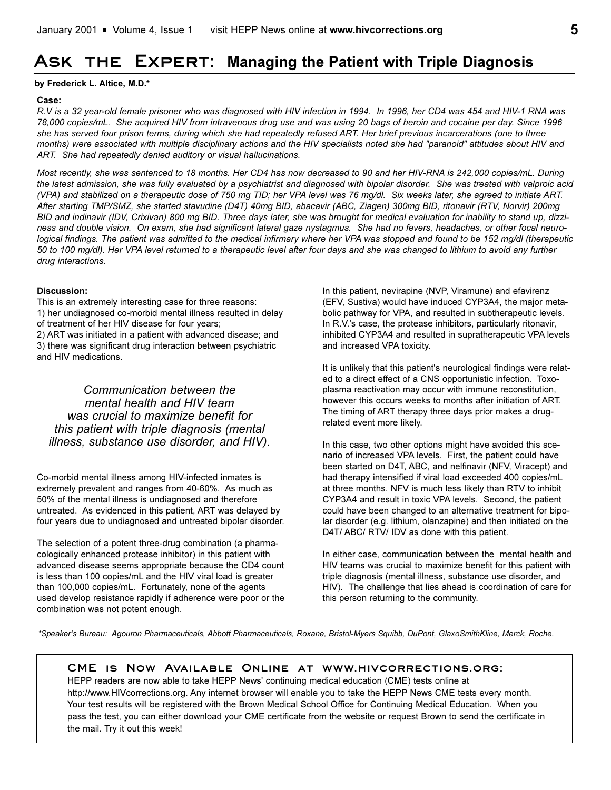# **Ask the Expert: Managing the Patient with Triple Diagnosis**

# **by Frederick L. Altice, M.D.\***

# **Case:**

*R.V is a 32 year-old female prisoner who was diagnosed with HIV infection in 1994. In 1996, her CD4 was 454 and HIV-1 RNA was 78,000 copies/mL. She acquired HIV from intravenous drug use and was using 20 bags of heroin and cocaine per day. Since 1996 she has served four prison terms, during which she had repeatedly refused ART. Her brief previous incarcerations (one to three months) were associated with multiple disciplinary actions and the HIV specialists noted she had "paranoid" attitudes about HIV and ART. She had repeatedly denied auditory or visual hallucinations.*

*Most recently, she was sentenced to 18 months. Her CD4 has now decreased to 90 and her HIV-RNA is 242,000 copies/mL. During the latest admission, she was fully evaluated by a psychiatrist and diagnosed with bipolar disorder. She was treated with valproic acid (VPA) and stabilized on a therapeutic dose of 750 mg TID; her VPA level was 76 mg/dl. Six weeks later, she agreed to initiate ART. After starting TMP/SMZ, she started stavudine (D4T) 40mg BID, abacavir (ABC, Ziagen) 300mg BID, ritonavir (RTV, Norvir) 200mg BID and indinavir (IDV, Crixivan) 800 mg BID. Three days later, she was brought for medical evaluation for inability to stand up, dizziness and double vision. On exam, she had significant lateral gaze nystagmus. She had no fevers, headaches, or other focal neurological findings. The patient was admitted to the medical infirmary where her VPA was stopped and found to be 152 mg/dl (therapeutic 50 to 100 mg/dl). Her VPA level returned to a therapeutic level after four days and she was changed to lithium to avoid any further drug interactions.* 

# **Discussion:**

This is an extremely interesting case for three reasons:

1) her undiagnosed co-morbid mental illness resulted in delay

of treatment of her HIV disease for four years;

2) ART was initiated in a patient with advanced disease; and 3) there was significant drug interaction between psychiatric and HIV medications.

*Communication between the mental health and HIV team was crucial to maximize benefit for this patient with triple diagnosis (mental illness, substance use disorder, and HIV).* 

Co-morbid mental illness among HIV-infected inmates is extremely prevalent and ranges from 40-60%. As much as 50% of the mental illness is undiagnosed and therefore untreated. As evidenced in this patient, ART was delayed by four years due to undiagnosed and untreated bipolar disorder.

The selection of a potent three-drug combination (a pharmacologically enhanced protease inhibitor) in this patient with advanced disease seems appropriate because the CD4 count is less than 100 copies/mL and the HIV viral load is greater than 100,000 copies/mL. Fortunately, none of the agents used develop resistance rapidly if adherence were poor or the combination was not potent enough.

In this patient, nevirapine (NVP, Viramune) and efavirenz (EFV, Sustiva) would have induced CYP3A4, the major metabolic pathway for VPA, and resulted in subtherapeutic levels. In R.V.'s case, the protease inhibitors, particularly ritonavir, inhibited CYP3A4 and resulted in supratherapeutic VPA levels and increased VPA toxicity.

It is unlikely that this patient's neurological findings were related to a direct effect of a CNS opportunistic infection. Toxoplasma reactivation may occur with immune reconstitution, however this occurs weeks to months after initiation of ART. The timing of ART therapy three days prior makes a drugrelated event more likely.

In this case, two other options might have avoided this scenario of increased VPA levels. First, the patient could have been started on D4T, ABC, and nelfinavir (NFV, Viracept) and had therapy intensified if viral load exceeded 400 copies/mL at three months. NFV is much less likely than RTV to inhibit CYP3A4 and result in toxic VPA levels. Second, the patient could have been changed to an alternative treatment for bipolar disorder (e.g. lithium, olanzapine) and then initiated on the D4T/ ABC/ RTV/ IDV as done with this patient.

In either case, communication between the mental health and HIV teams was crucial to maximize benefit for this patient with triple diagnosis (mental illness, substance use disorder, and HIV). The challenge that lies ahead is coordination of care for this person returning to the community.

*\*Speakers Bureau: Agouron Pharmaceuticals, Abbott Pharmaceuticals, Roxane, Bristol-Myers Squibb, DuPont, GlaxoSmithKline, Merck, Roche.*

# **CME is Now Available Online at www.hivcorrections.org:**

HEPP readers are now able to take HEPP News' continuing medical education (CME) tests online at http://www.HIVcorrections.org. Any internet browser will enable you to take the HEPP News CME tests every month. Your test results will be registered with the Brown Medical School Office for Continuing Medical Education. When you pass the test, you can either download your CME certificate from the website or request Brown to send the certificate in the mail. Try it out this week!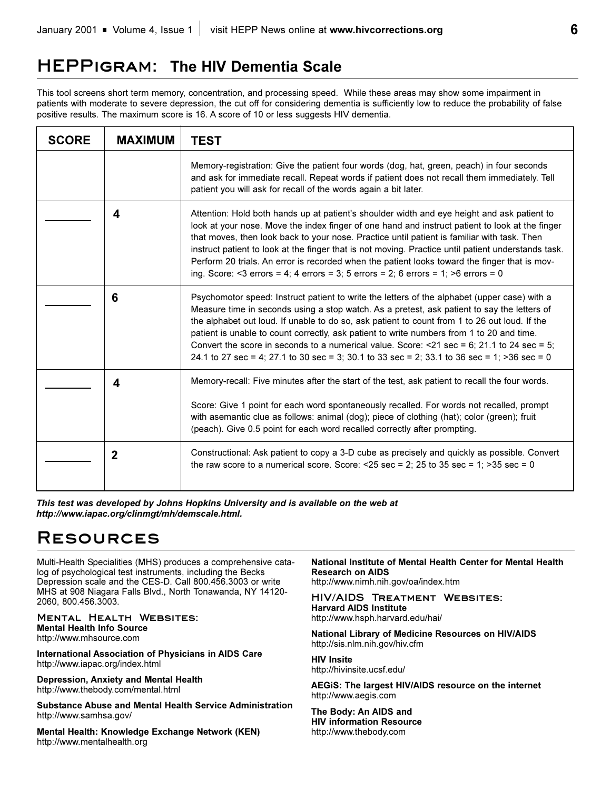# **HEPPigram: The HIV Dementia Scale**

This tool screens short term memory, concentration, and processing speed. While these areas may show some impairment in patients with moderate to severe depression, the cut off for considering dementia is sufficiently low to reduce the probability of false positive results. The maximum score is 16. A score of 10 or less suggests HIV dementia.

| <b>SCORE</b> | <b>MAXIMUM</b> | <b>TEST</b>                                                                                                                                                                                                                                                                                                                                                                                                                                                                                                                                                                                    |
|--------------|----------------|------------------------------------------------------------------------------------------------------------------------------------------------------------------------------------------------------------------------------------------------------------------------------------------------------------------------------------------------------------------------------------------------------------------------------------------------------------------------------------------------------------------------------------------------------------------------------------------------|
|              |                | Memory-registration: Give the patient four words (dog, hat, green, peach) in four seconds<br>and ask for immediate recall. Repeat words if patient does not recall them immediately. Tell<br>patient you will ask for recall of the words again a bit later.                                                                                                                                                                                                                                                                                                                                   |
|              | 4              | Attention: Hold both hands up at patient's shoulder width and eye height and ask patient to<br>look at your nose. Move the index finger of one hand and instruct patient to look at the finger<br>that moves, then look back to your nose. Practice until patient is familiar with task. Then<br>instruct patient to look at the finger that is not moving. Practice until patient understands task.<br>Perform 20 trials. An error is recorded when the patient looks toward the finger that is mov-<br>ing. Score: <3 errors = 4; 4 errors = 3; 5 errors = 2; 6 errors = 1; >6 errors = 0    |
|              | 6              | Psychomotor speed: Instruct patient to write the letters of the alphabet (upper case) with a<br>Measure time in seconds using a stop watch. As a pretest, ask patient to say the letters of<br>the alphabet out loud. If unable to do so, ask patient to count from 1 to 26 out loud. If the<br>patient is unable to count correctly, ask patient to write numbers from 1 to 20 and time.<br>Convert the score in seconds to a numerical value. Score: $\leq$ 21 sec = 6; 21.1 to 24 sec = 5;<br>24.1 to 27 sec = 4; 27.1 to 30 sec = 3; 30.1 to 33 sec = 2; 33.1 to 36 sec = 1; $>36$ sec = 0 |
|              | 4              | Memory-recall: Five minutes after the start of the test, ask patient to recall the four words.<br>Score: Give 1 point for each word spontaneously recalled. For words not recalled, prompt<br>with asemantic clue as follows: animal (dog); piece of clothing (hat); color (green); fruit<br>(peach). Give 0.5 point for each word recalled correctly after prompting.                                                                                                                                                                                                                         |
|              | $\mathbf{2}$   | Constructional: Ask patient to copy a 3-D cube as precisely and quickly as possible. Convert<br>the raw score to a numerical score. Score: $\leq$ 25 sec = 2; 25 to 35 sec = 1; $>$ 35 sec = 0                                                                                                                                                                                                                                                                                                                                                                                                 |

*This test was developed by Johns Hopkins University and is available on the web at http://www.iapac.org/clinmgt/mh/demscale.html.*

# **Resources**

Multi-Health Specialities (MHS) produces a comprehensive catalog of psychological test instruments, including the Becks Depression scale and the CES-D. Call 800.456.3003 or write MHS at 908 Niagara Falls Blvd., North Tonawanda, NY 14120- 2060, 800.456.3003.

**Mental Health Websites:**

**Mental Health Info Source** http://www.mhsource.com

**International Association of Physicians in AIDS Care** http://www.iapac.org/index.html

**Depression, Anxiety and Mental Health** http://www.thebody.com/mental.html

**Substance Abuse and Mental Health Service Administration**  http://www.samhsa.gov/

**Mental Health: Knowledge Exchange Network (KEN)** http://www.mentalhealth.org

# **National Institute of Mental Health Center for Mental Health Research on AIDS**

http://www.nimh.nih.gov/oa/index.htm

### **HIV/AIDS Treatment Websites: Harvard AIDS Institute**

http://www.hsph.harvard.edu/hai/

**National Library of Medicine Resources on HIV/AIDS** http://sis.nlm.nih.gov/hiv.cfm

**HIV Insite** http://hivinsite.ucsf.edu/

**AEGiS: The largest HIV/AIDS resource on the internet** http://www.aegis.com

**The Body: An AIDS and HIV information Resource** http://www.thebody.com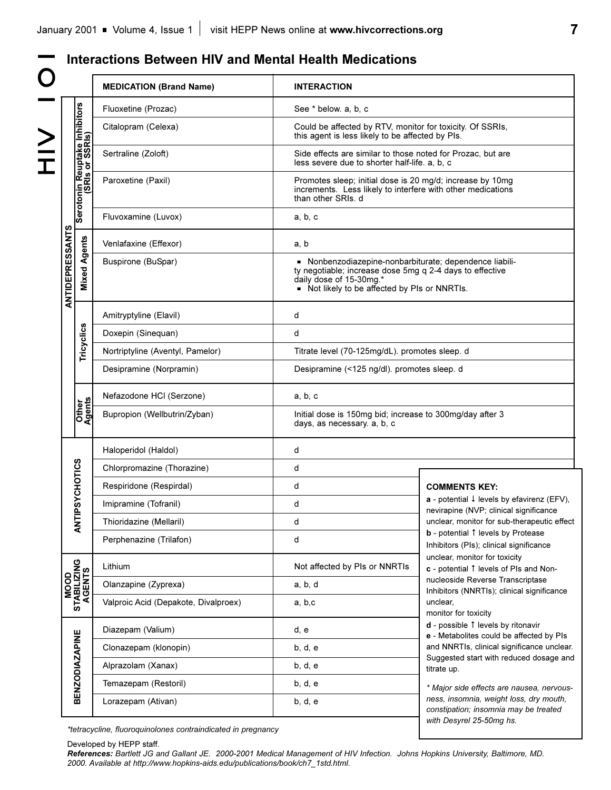|<br>|<br>|<br>|<br>|<br>|<br><br>|<br><br><br><br><br><br><br> O I O

# **Interactions Between HIV and Mental Health Medications**

|                        |                                                  | <b>MEDICATION (Brand Name)</b>       | <b>INTERACTION</b>                                                                                                                             |                                                                                                                                                                    |  |  |
|------------------------|--------------------------------------------------|--------------------------------------|------------------------------------------------------------------------------------------------------------------------------------------------|--------------------------------------------------------------------------------------------------------------------------------------------------------------------|--|--|
|                        |                                                  | Fluoxetine (Prozac)                  | See * below. a, b, c                                                                                                                           |                                                                                                                                                                    |  |  |
|                        | Serotonin Reuptake Inhibitors<br>(SRIs or SSRIs) | Citalopram (Celexa)                  | Could be affected by RTV, monitor for toxicity. Of SSRIs,<br>this agent is less likely to be affected by PIs.                                  |                                                                                                                                                                    |  |  |
|                        |                                                  | Sertraline (Zoloft)                  | less severe due to shorter half-life. a, b, c                                                                                                  | Side effects are similar to those noted for Prozac, but are                                                                                                        |  |  |
|                        |                                                  | Paroxetine (Paxil)                   | Promotes sleep; initial dose is 20 mg/d; increase by 10mg<br>increments. Less likely to interfere with other medications<br>than other SRIs. d |                                                                                                                                                                    |  |  |
| <b>ANTIDEPRESSANTS</b> |                                                  | Fluvoxamine (Luvox)                  | a, b, c                                                                                                                                        |                                                                                                                                                                    |  |  |
|                        |                                                  | Venlafaxine (Effexor)                | a, b                                                                                                                                           |                                                                                                                                                                    |  |  |
|                        | <b>Mixed Agents</b>                              | Buspirone (BuSpar)                   | daily dose of 15-30mg.*                                                                                                                        | - Nonbenzodiazepine-nonbarbiturate; dependence liabili-<br>ty negotiable; increase dose 5mg q 2-4 days to effective<br>Not likely to be affected by PIs or NNRTIs. |  |  |
|                        |                                                  | Amitryptyline (Elavil)               | d                                                                                                                                              |                                                                                                                                                                    |  |  |
|                        |                                                  | Doxepin (Sinequan)                   | d                                                                                                                                              |                                                                                                                                                                    |  |  |
|                        | Tricyclics                                       | Nortriptyline (Aventyl, Pamelor)     |                                                                                                                                                | Titrate level (70-125mg/dL). promotes sleep. d                                                                                                                     |  |  |
|                        |                                                  | Desipramine (Norpramin)              |                                                                                                                                                | Desipramine (<125 ng/dl). promotes sleep. d                                                                                                                        |  |  |
|                        |                                                  | Nefazodone HCI (Serzone)             | a, b, c                                                                                                                                        |                                                                                                                                                                    |  |  |
|                        | Other<br>Agents                                  | Bupropion (Wellbutrin/Zyban)         | Initial dose is 150mg bid; increase to 300mg/day after 3<br>days, as necessary. a, b, c                                                        |                                                                                                                                                                    |  |  |
|                        |                                                  | Haloperidol (Haldol)                 | d                                                                                                                                              |                                                                                                                                                                    |  |  |
|                        | NTIPSYCHOTICS                                    | Chlorpromazine (Thorazine)           | d                                                                                                                                              |                                                                                                                                                                    |  |  |
|                        |                                                  | Respiridone (Respirdal)              | d                                                                                                                                              | <b>COMMENTS KEY:</b>                                                                                                                                               |  |  |
|                        |                                                  | Imipramine (Tofranil)                | d                                                                                                                                              | $a$ - potential $\downarrow$ levels by efavirenz (EFV),<br>nevirapine (NVP; clinical significance                                                                  |  |  |
|                        | ⋖                                                | Thioridazine (Mellaril)              | d                                                                                                                                              | unclear, monitor for sub-therapeutic effect                                                                                                                        |  |  |
|                        |                                                  | Perphenazine (Trilafon)              | d                                                                                                                                              | b - potential 1 levels by Protease<br>Inhibitors (PIs); clinical significance                                                                                      |  |  |
|                        |                                                  | Lithium                              | Not affected by PIs or NNRTIs                                                                                                                  | unclear, monitor for toxicity<br>c - potential 1 levels of PIs and Non-                                                                                            |  |  |
|                        |                                                  | Olanzapine (Zyprexa)                 | a, b, d                                                                                                                                        | nucleoside Reverse Transcriptase<br>Inhibitors (NNRTIs); clinical significance<br>unclear,<br>monitor for toxicity                                                 |  |  |
|                        | MOOD<br>STABILIZING<br>AGENTS                    | Valproic Acid (Depakote, Divalproex) | a, b, c                                                                                                                                        |                                                                                                                                                                    |  |  |
|                        |                                                  | Diazepam (Valium)                    | d, e                                                                                                                                           | d - possible 1 levels by ritonavir<br>e - Metabolites could be affected by PIs                                                                                     |  |  |
|                        |                                                  | Clonazepam (klonopin)                | b, d, e                                                                                                                                        | and NNRTIs, clinical significance unclear.<br>Suggested start with reduced dosage and<br>titrate up.<br>* Major side effects are nausea, nervous-                  |  |  |
|                        | <b>BENZODIAZAPINE</b>                            | Alprazolam (Xanax)                   | b, d, e                                                                                                                                        |                                                                                                                                                                    |  |  |
|                        |                                                  | Temazepam (Restoril)                 | b, d, e                                                                                                                                        |                                                                                                                                                                    |  |  |
|                        |                                                  | Lorazepam (Ativan)                   | b, d, e                                                                                                                                        | ness, insomnia, weight loss, dry mouth,<br>constipation; insomnia may be treated<br>with Desyrel 25-50mg hs.                                                       |  |  |

*\*tetracycline, fluoroquinolones contraindicated in pregnancy*

Developed by HEPP staff.

*References: Bartlett JG and Gallant JE. 2000-2001 Medical Management of HIV Infection. Johns Hopkins University, Baltimore, MD. 2000. Available at http://www.hopkins-aids.edu/publications/book/ch7\_1std.html.*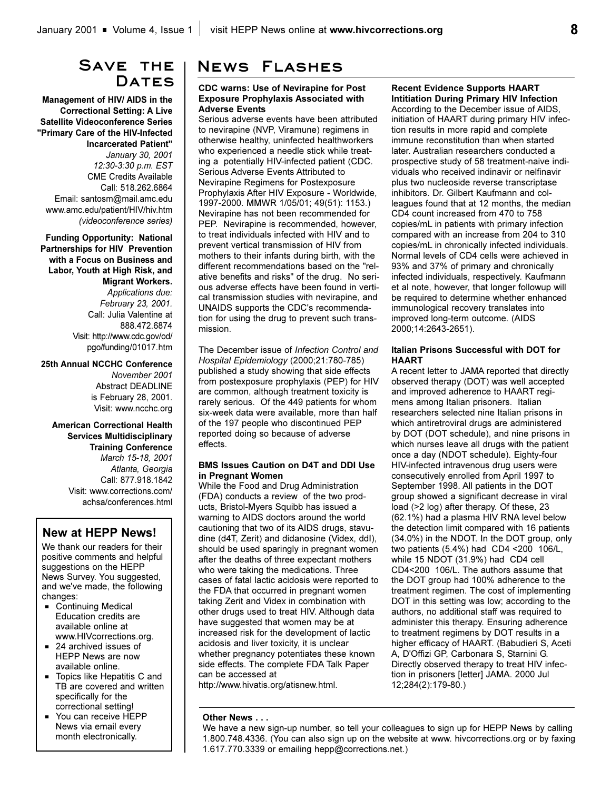# **Save the**  DATES

**Management of HIV/ AIDS in the Correctional Setting: A Live Satellite Videoconference Series "Primary Care of the HIV-Infected Incarcerated Patient"** *January 30, 2001 12:30-3:30 p.m. EST* CME Credits Available Call: 518.262.6864 Email: santosm@mail.amc.edu www.amc.edu/patient/HIV/hiv.htm *(videoconference series)*

**Funding Opportunity: National Partnerships for HIV Prevention with a Focus on Business and Labor, Youth at High Risk, and Migrant Workers.** *Applications due: February 23, 2001.* Call: Julia Valentine at 888.472.6874 Visit: http://www.cdc.gov/od/ pgo/funding/01017.htm

**25th Annual NCCHC Conference** *November 2001* Abstract DEADLINE is February 28, 2001. Visit: www.ncchc.org

### **American Correctional Health Services Multidisciplinary Training Conference** *March 15-18, 2001 Atlanta, Georgia* Call: 877.918.1842 Visit: www.corrections.com/ achsa/conferences.html

# **New at HEPP News!**

We thank our readers for their positive comments and helpful suggestions on the HEPP News Survey. You suggested, and we've made, the following changes:

- **Continuing Medical** Education credits are available online at www.HIVcorrections.org.
- $= 24$  archived issues of HEPP News are now available online.
- $\blacksquare$  Topics like Hepatitis C and TB are covered and written specifically for the correctional setting!
- You can receive HEPP News via email every month electronically.

# **News Flashes**

### **CDC warns: Use of Nevirapine for Post Exposure Prophylaxis Associated with Adverse Events**

Serious adverse events have been attributed to nevirapine (NVP, Viramune) regimens in otherwise healthy, uninfected healthworkers who experienced a needle stick while treating a potentially HIV-infected patient (CDC. Serious Adverse Events Attributed to Nevirapine Regimens for Postexposure Prophylaxis After HIV Exposure - Worldwide, 1997-2000. MMWR 1/05/01; 49(51): 1153.) Nevirapine has not been recommended for PEP. Nevirapine is recommended, however, to treat individuals infected with HIV and to prevent vertical transmission of HIV from mothers to their infants during birth, with the different recommendations based on the "relative benefits and risks" of the drug. No serious adverse effects have been found in vertical transmission studies with nevirapine, and UNAIDS supports the CDC's recommendation for using the drug to prevent such transmission.

The December issue of *Infection Control and Hospital Epidemiology* (2000;21:780-785) published a study showing that side effects from postexposure prophylaxis (PEP) for HIV are common, although treatment toxicity is rarely serious. Of the 449 patients for whom six-week data were available, more than half of the 197 people who discontinued PEP reported doing so because of adverse effects.

### **BMS Issues Caution on D4T and DDI Use in Pregnant Women**

While the Food and Drug Administration (FDA) conducts a review of the two products, Bristol-Myers Squibb has issued a warning to AIDS doctors around the world cautioning that two of its AIDS drugs, stavudine (d4T, Zerit) and didanosine (Videx, ddI), should be used sparingly in pregnant women after the deaths of three expectant mothers who were taking the medications. Three cases of fatal lactic acidosis were reported to the FDA that occurred in pregnant women taking Zerit and Videx in combination with other drugs used to treat HIV. Although data have suggested that women may be at increased risk for the development of lactic acidosis and liver toxicity, it is unclear whether pregnancy potentiates these known side effects. The complete FDA Talk Paper can be accessed at

http://www.hivatis.org/atisnew.html.

# **Other News . . .**

We have a new sign-up number, so tell your colleagues to sign up for HEPP News by calling 1.800.748.4336. (You can also sign up on the website at www. hivcorrections.org or by faxing 1.617.770.3339 or emailing hepp@corrections.net.)

# **Recent Evidence Supports HAART Intitiation During Primary HIV Infection**

According to the December issue of AIDS, initiation of HAART during primary HIV infection results in more rapid and complete immune reconstitution than when started later. Australian researchers conducted a prospective study of 58 treatment-naive individuals who received indinavir or nelfinavir plus two nucleoside reverse transcriptase inhibitors. Dr. Gilbert Kaufmann and colleagues found that at 12 months, the median CD4 count increased from 470 to 758 copies/mL in patients with primary infection compared with an increase from 204 to 310 copies/mL in chronically infected individuals. Normal levels of CD4 cells were achieved in 93% and 37% of primary and chronically infected individuals, respectively. Kaufmann et al note, however, that longer followup will be required to determine whether enhanced immunological recovery translates into improved long-term outcome. (AIDS 2000;14:2643-2651).

### **Italian Prisons Successful with DOT for HAART**

A recent letter to JAMA reported that directly observed therapy (DOT) was well accepted and improved adherence to HAART regimens among Italian prisoners. Italian researchers selected nine Italian prisons in which antiretroviral drugs are administered by DOT (DOT schedule), and nine prisons in which nurses leave all drugs with the patient once a day (NDOT schedule). Eighty-four HIV-infected intravenous drug users were consecutively enrolled from April 1997 to September 1998. All patients in the DOT group showed a significant decrease in viral load (>2 log) after therapy. Of these, 23 (62.1%) had a plasma HIV RNA level below the detection limit compared with 16 patients (34.0%) in the NDOT. In the DOT group, only two patients (5.4%) had CD4 <200 106/L, while 15 NDOT (31.9%) had CD4 cell CD4<200 106/L. The authors assume that the DOT group had 100% adherence to the treatment regimen. The cost of implementing DOT in this setting was low; according to the authors, no additional staff was required to administer this therapy. Ensuring adherence to treatment regimens by DOT results in a higher efficacy of HAART. (Babudieri S, Aceti A, D'Offizi GP, Carbonara S, Starnini G. Directly observed therapy to treat HIV infection in prisoners [letter] JAMA. 2000 Jul 12;284(2):179-80.)